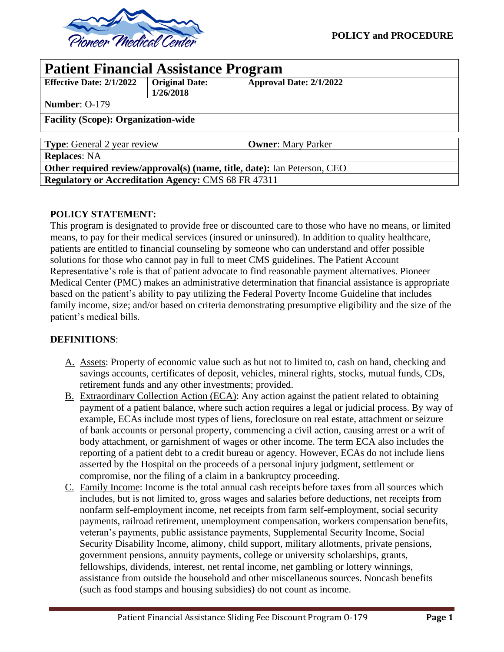

| <b>Patient Financial Assistance Program</b>                              |                                    |                           |  |  |  |
|--------------------------------------------------------------------------|------------------------------------|---------------------------|--|--|--|
| <b>Effective Date: 2/1/2022</b>                                          | <b>Original Date:</b><br>1/26/2018 | Approval Date: 2/1/2022   |  |  |  |
| <b>Number: O-179</b>                                                     |                                    |                           |  |  |  |
| <b>Facility (Scope): Organization-wide</b>                               |                                    |                           |  |  |  |
| <b>Type:</b> General 2 year review                                       |                                    | <b>Owner:</b> Mary Parker |  |  |  |
| <b>Replaces: NA</b>                                                      |                                    |                           |  |  |  |
| Other required review/approval(s) (name, title, date): Ian Peterson, CEO |                                    |                           |  |  |  |
| <b>Regulatory or Accreditation Agency: CMS 68 FR 47311</b>               |                                    |                           |  |  |  |

# **POLICY STATEMENT:**

This program is designated to provide free or discounted care to those who have no means, or limited means, to pay for their medical services (insured or uninsured). In addition to quality healthcare, patients are entitled to financial counseling by someone who can understand and offer possible solutions for those who cannot pay in full to meet CMS guidelines. The Patient Account Representative's role is that of patient advocate to find reasonable payment alternatives. Pioneer Medical Center (PMC) makes an administrative determination that financial assistance is appropriate based on the patient's ability to pay utilizing the Federal Poverty Income Guideline that includes family income, size; and/or based on criteria demonstrating presumptive eligibility and the size of the patient's medical bills.

# **DEFINITIONS**:

- A. Assets: Property of economic value such as but not to limited to, cash on hand, checking and savings accounts, certificates of deposit, vehicles, mineral rights, stocks, mutual funds, CDs, retirement funds and any other investments; provided.
- B. Extraordinary Collection Action (ECA): Any action against the patient related to obtaining payment of a patient balance, where such action requires a legal or judicial process. By way of example, ECAs include most types of liens, foreclosure on real estate, attachment or seizure of bank accounts or personal property, commencing a civil action, causing arrest or a writ of body attachment, or garnishment of wages or other income. The term ECA also includes the reporting of a patient debt to a credit bureau or agency. However, ECAs do not include liens asserted by the Hospital on the proceeds of a personal injury judgment, settlement or compromise, nor the filing of a claim in a bankruptcy proceeding.
- C. Family Income: Income is the total annual cash receipts before taxes from all sources which includes, but is not limited to, gross wages and salaries before deductions, net receipts from nonfarm self-employment income, net receipts from farm self-employment, social security payments, railroad retirement, unemployment compensation, workers compensation benefits, veteran's payments, public assistance payments, Supplemental Security Income, Social Security Disability Income, alimony, child support, military allotments, private pensions, government pensions, annuity payments, college or university scholarships, grants, fellowships, dividends, interest, net rental income, net gambling or lottery winnings, assistance from outside the household and other miscellaneous sources. Noncash benefits (such as food stamps and housing subsidies) do not count as income.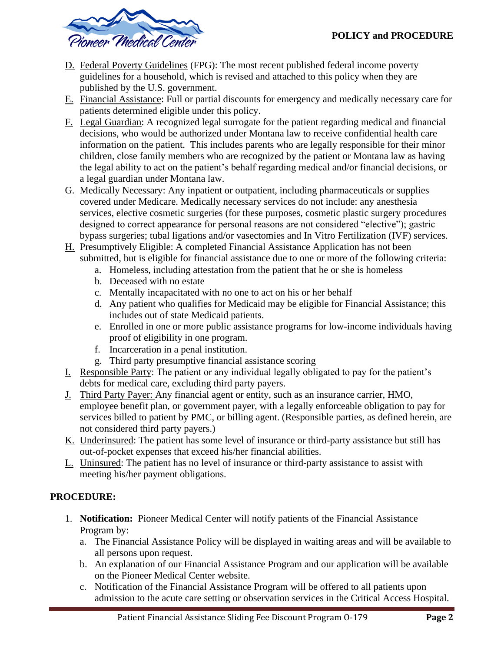

- D. Federal Poverty Guidelines (FPG): The most recent published federal income poverty guidelines for a household, which is revised and attached to this policy when they are published by the U.S. government.
- E. Financial Assistance: Full or partial discounts for emergency and medically necessary care for patients determined eligible under this policy.
- F. Legal Guardian: A recognized legal surrogate for the patient regarding medical and financial decisions, who would be authorized under Montana law to receive confidential health care information on the patient. This includes parents who are legally responsible for their minor children, close family members who are recognized by the patient or Montana law as having the legal ability to act on the patient's behalf regarding medical and/or financial decisions, or a legal guardian under Montana law.
- G. Medically Necessary: Any inpatient or outpatient, including pharmaceuticals or supplies covered under Medicare. Medically necessary services do not include: any anesthesia services, elective cosmetic surgeries (for these purposes, cosmetic plastic surgery procedures designed to correct appearance for personal reasons are not considered "elective"); gastric bypass surgeries; tubal ligations and/or vasectomies and In Vitro Fertilization (IVF) services.
- H. Presumptively Eligible: A completed Financial Assistance Application has not been submitted, but is eligible for financial assistance due to one or more of the following criteria:
	- a. Homeless, including attestation from the patient that he or she is homeless
	- b. Deceased with no estate
	- c. Mentally incapacitated with no one to act on his or her behalf
	- d. Any patient who qualifies for Medicaid may be eligible for Financial Assistance; this includes out of state Medicaid patients.
	- e. Enrolled in one or more public assistance programs for low-income individuals having proof of eligibility in one program.
	- f. Incarceration in a penal institution.
	- g. Third party presumptive financial assistance scoring
- I. Responsible Party: The patient or any individual legally obligated to pay for the patient's debts for medical care, excluding third party payers.
- J. Third Party Payer: Any financial agent or entity, such as an insurance carrier, HMO, employee benefit plan, or government payer, with a legally enforceable obligation to pay for services billed to patient by PMC, or billing agent. (Responsible parties, as defined herein, are not considered third party payers.)
- K. Underinsured: The patient has some level of insurance or third-party assistance but still has out-of-pocket expenses that exceed his/her financial abilities.
- L. Uninsured: The patient has no level of insurance or third-party assistance to assist with meeting his/her payment obligations.

# **PROCEDURE:**

- 1. **Notification:** Pioneer Medical Center will notify patients of the Financial Assistance Program by:
	- a. The Financial Assistance Policy will be displayed in waiting areas and will be available to all persons upon request.
	- b. An explanation of our Financial Assistance Program and our application will be available on the Pioneer Medical Center website.
	- c. Notification of the Financial Assistance Program will be offered to all patients upon admission to the acute care setting or observation services in the Critical Access Hospital.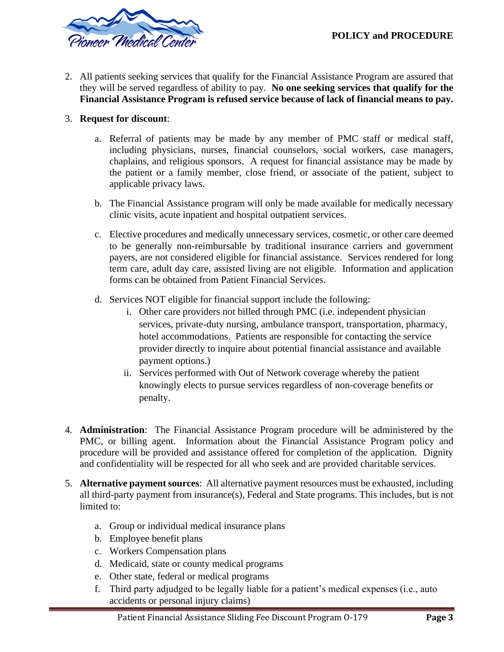

2. All patients seeking services that qualify for the Financial Assistance Program are assured that they will be served regardless of ability to pay. **No one seeking services that qualify for the Financial Assistance Program is refused service because of lack of financial means to pay.**

## 3. **Request for discount**:

- a. Referral of patients may be made by any member of PMC staff or medical staff, including physicians, nurses, financial counselors, social workers, case managers, chaplains, and religious sponsors. A request for financial assistance may be made by the patient or a family member, close friend, or associate of the patient, subject to applicable privacy laws.
- b. The Financial Assistance program will only be made available for medically necessary clinic visits, acute inpatient and hospital outpatient services.
- c. Elective procedures and medically unnecessary services, cosmetic, or other care deemed to be generally non-reimbursable by traditional insurance carriers and government payers, are not considered eligible for financial assistance. Services rendered for long term care, adult day care, assisted living are not eligible. Information and application forms can be obtained from Patient Financial Services.
- d. Services NOT eligible for financial support include the following:
	- i. Other care providers not billed through PMC (i.e. independent physician services, private-duty nursing, ambulance transport, transportation, pharmacy, hotel accommodations. Patients are responsible for contacting the service provider directly to inquire about potential financial assistance and available payment options.)
	- ii. Services performed with Out of Network coverage whereby the patient knowingly elects to pursue services regardless of non-coverage benefits or penalty.
- 4. **Administration**: The Financial Assistance Program procedure will be administered by the PMC, or billing agent. Information about the Financial Assistance Program policy and procedure will be provided and assistance offered for completion of the application. Dignity and confidentiality will be respected for all who seek and are provided charitable services.
- 5. **Alternative payment sources**: All alternative payment resources must be exhausted, including all third-party payment from insurance(s), Federal and State programs. This includes, but is not limited to:
	- a. Group or individual medical insurance plans
	- b. Employee benefit plans
	- c. Workers Compensation plans
	- d. Medicaid, state or county medical programs
	- e. Other state, federal or medical programs
	- f. Third party adjudged to be legally liable for a patient's medical expenses (i.e., auto accidents or personal injury claims)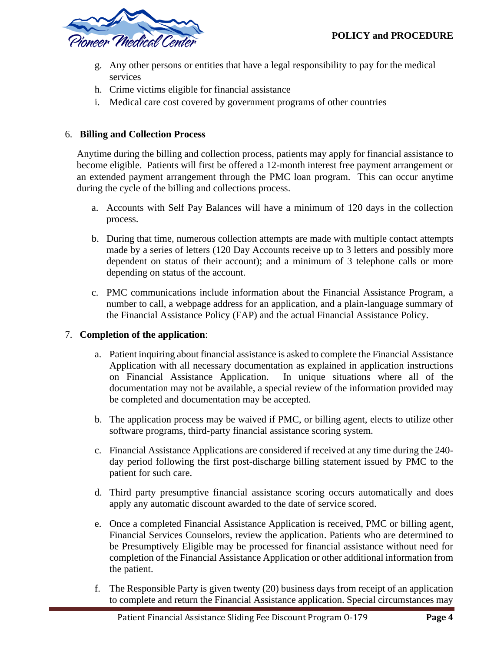

- g. Any other persons or entities that have a legal responsibility to pay for the medical services
- h. Crime victims eligible for financial assistance
- i. Medical care cost covered by government programs of other countries

## 6. **Billing and Collection Process**

Anytime during the billing and collection process, patients may apply for financial assistance to become eligible. Patients will first be offered a 12-month interest free payment arrangement or an extended payment arrangement through the PMC loan program. This can occur anytime during the cycle of the billing and collections process.

- a. Accounts with Self Pay Balances will have a minimum of 120 days in the collection process.
- b. During that time, numerous collection attempts are made with multiple contact attempts made by a series of letters (120 Day Accounts receive up to 3 letters and possibly more dependent on status of their account); and a minimum of 3 telephone calls or more depending on status of the account.
- c. PMC communications include information about the Financial Assistance Program, a number to call, a webpage address for an application, and a plain-language summary of the Financial Assistance Policy (FAP) and the actual Financial Assistance Policy.

# 7. **Completion of the application**:

- a. Patient inquiring about financial assistance is asked to complete the Financial Assistance Application with all necessary documentation as explained in application instructions on Financial Assistance Application. In unique situations where all of the documentation may not be available, a special review of the information provided may be completed and documentation may be accepted.
- b. The application process may be waived if PMC, or billing agent, elects to utilize other software programs, third-party financial assistance scoring system.
- c. Financial Assistance Applications are considered if received at any time during the 240 day period following the first post-discharge billing statement issued by PMC to the patient for such care.
- d. Third party presumptive financial assistance scoring occurs automatically and does apply any automatic discount awarded to the date of service scored.
- e. Once a completed Financial Assistance Application is received, PMC or billing agent, Financial Services Counselors, review the application. Patients who are determined to be Presumptively Eligible may be processed for financial assistance without need for completion of the Financial Assistance Application or other additional information from the patient.
- f. The Responsible Party is given twenty (20) business days from receipt of an application to complete and return the Financial Assistance application. Special circumstances may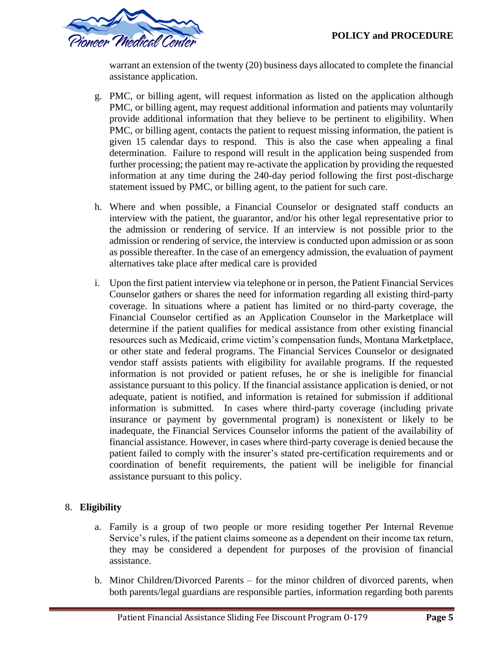

warrant an extension of the twenty (20) business days allocated to complete the financial assistance application.

- g. PMC, or billing agent, will request information as listed on the application although PMC, or billing agent, may request additional information and patients may voluntarily provide additional information that they believe to be pertinent to eligibility. When PMC, or billing agent, contacts the patient to request missing information, the patient is given 15 calendar days to respond. This is also the case when appealing a final determination. Failure to respond will result in the application being suspended from further processing; the patient may re-activate the application by providing the requested information at any time during the 240-day period following the first post-discharge statement issued by PMC, or billing agent, to the patient for such care.
- h. Where and when possible, a Financial Counselor or designated staff conducts an interview with the patient, the guarantor, and/or his other legal representative prior to the admission or rendering of service. If an interview is not possible prior to the admission or rendering of service, the interview is conducted upon admission or as soon as possible thereafter. In the case of an emergency admission, the evaluation of payment alternatives take place after medical care is provided
- i. Upon the first patient interview via telephone or in person, the Patient Financial Services Counselor gathers or shares the need for information regarding all existing third-party coverage. In situations where a patient has limited or no third-party coverage, the Financial Counselor certified as an Application Counselor in the Marketplace will determine if the patient qualifies for medical assistance from other existing financial resources such as Medicaid, crime victim's compensation funds, Montana Marketplace, or other state and federal programs. The Financial Services Counselor or designated vendor staff assists patients with eligibility for available programs. If the requested information is not provided or patient refuses, he or she is ineligible for financial assistance pursuant to this policy. If the financial assistance application is denied, or not adequate, patient is notified, and information is retained for submission if additional information is submitted. In cases where third-party coverage (including private insurance or payment by governmental program) is nonexistent or likely to be inadequate, the Financial Services Counselor informs the patient of the availability of financial assistance. However, in cases where third-party coverage is denied because the patient failed to comply with the insurer's stated pre-certification requirements and or coordination of benefit requirements, the patient will be ineligible for financial assistance pursuant to this policy.

# 8. **Eligibility**

- a. Family is a group of two people or more residing together Per Internal Revenue Service's rules, if the patient claims someone as a dependent on their income tax return, they may be considered a dependent for purposes of the provision of financial assistance.
- b. Minor Children/Divorced Parents for the minor children of divorced parents, when both parents/legal guardians are responsible parties, information regarding both parents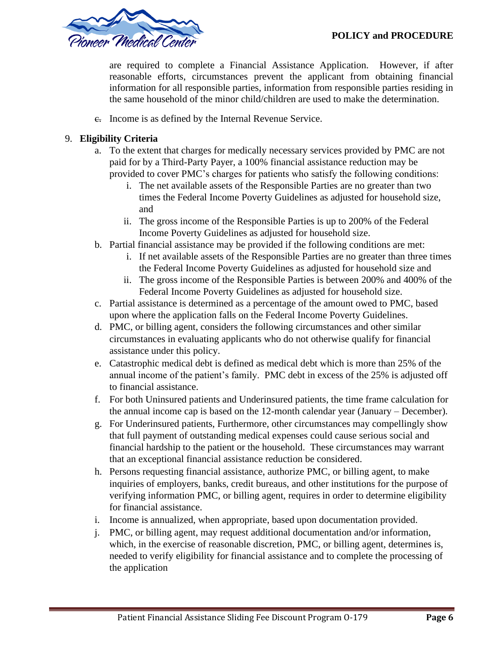

are required to complete a Financial Assistance Application. However, if after reasonable efforts, circumstances prevent the applicant from obtaining financial information for all responsible parties, information from responsible parties residing in the same household of the minor child/children are used to make the determination.

c. Income is as defined by the Internal Revenue Service.

## 9. **Eligibility Criteria**

- a. To the extent that charges for medically necessary services provided by PMC are not paid for by a Third-Party Payer, a 100% financial assistance reduction may be provided to cover PMC's charges for patients who satisfy the following conditions:
	- i. The net available assets of the Responsible Parties are no greater than two times the Federal Income Poverty Guidelines as adjusted for household size, and
	- ii. The gross income of the Responsible Parties is up to 200% of the Federal Income Poverty Guidelines as adjusted for household size.
- b. Partial financial assistance may be provided if the following conditions are met:
	- i. If net available assets of the Responsible Parties are no greater than three times the Federal Income Poverty Guidelines as adjusted for household size and
	- ii. The gross income of the Responsible Parties is between 200% and 400% of the Federal Income Poverty Guidelines as adjusted for household size.
- c. Partial assistance is determined as a percentage of the amount owed to PMC, based upon where the application falls on the Federal Income Poverty Guidelines.
- d. PMC, or billing agent, considers the following circumstances and other similar circumstances in evaluating applicants who do not otherwise qualify for financial assistance under this policy.
- e. Catastrophic medical debt is defined as medical debt which is more than 25% of the annual income of the patient's family. PMC debt in excess of the 25% is adjusted off to financial assistance.
- f. For both Uninsured patients and Underinsured patients, the time frame calculation for the annual income cap is based on the 12-month calendar year (January – December).
- g. For Underinsured patients, Furthermore, other circumstances may compellingly show that full payment of outstanding medical expenses could cause serious social and financial hardship to the patient or the household. These circumstances may warrant that an exceptional financial assistance reduction be considered.
- h. Persons requesting financial assistance, authorize PMC, or billing agent, to make inquiries of employers, banks, credit bureaus, and other institutions for the purpose of verifying information PMC, or billing agent, requires in order to determine eligibility for financial assistance.
- i. Income is annualized, when appropriate, based upon documentation provided.
- j. PMC, or billing agent, may request additional documentation and/or information, which, in the exercise of reasonable discretion, PMC, or billing agent, determines is, needed to verify eligibility for financial assistance and to complete the processing of the application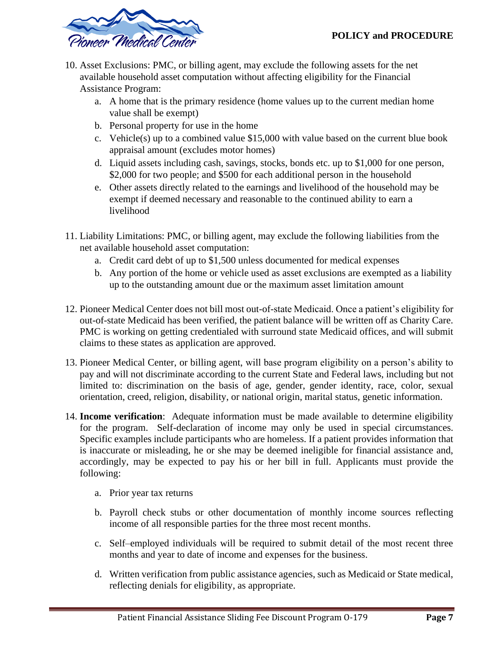

- 10. Asset Exclusions: PMC, or billing agent, may exclude the following assets for the net available household asset computation without affecting eligibility for the Financial Assistance Program:
	- a. A home that is the primary residence (home values up to the current median home value shall be exempt)
	- b. Personal property for use in the home
	- c. Vehicle(s) up to a combined value \$15,000 with value based on the current blue book appraisal amount (excludes motor homes)
	- d. Liquid assets including cash, savings, stocks, bonds etc. up to \$1,000 for one person, \$2,000 for two people; and \$500 for each additional person in the household
	- e. Other assets directly related to the earnings and livelihood of the household may be exempt if deemed necessary and reasonable to the continued ability to earn a livelihood
- 11. Liability Limitations: PMC, or billing agent, may exclude the following liabilities from the net available household asset computation:
	- a. Credit card debt of up to \$1,500 unless documented for medical expenses
	- b. Any portion of the home or vehicle used as asset exclusions are exempted as a liability up to the outstanding amount due or the maximum asset limitation amount
- 12. Pioneer Medical Center does not bill most out-of-state Medicaid. Once a patient's eligibility for out-of-state Medicaid has been verified, the patient balance will be written off as Charity Care. PMC is working on getting credentialed with surround state Medicaid offices, and will submit claims to these states as application are approved.
- 13. Pioneer Medical Center, or billing agent, will base program eligibility on a person's ability to pay and will not discriminate according to the current State and Federal laws, including but not limited to: discrimination on the basis of age, gender, gender identity, race, color, sexual orientation, creed, religion, disability, or national origin, marital status, genetic information.
- 14. **Income verification**: Adequate information must be made available to determine eligibility for the program. Self-declaration of income may only be used in special circumstances. Specific examples include participants who are homeless. If a patient provides information that is inaccurate or misleading, he or she may be deemed ineligible for financial assistance and, accordingly, may be expected to pay his or her bill in full. Applicants must provide the following:
	- a. Prior year tax returns
	- b. Payroll check stubs or other documentation of monthly income sources reflecting income of all responsible parties for the three most recent months.
	- c. Self–employed individuals will be required to submit detail of the most recent three months and year to date of income and expenses for the business.
	- d. Written verification from public assistance agencies, such as Medicaid or State medical, reflecting denials for eligibility, as appropriate.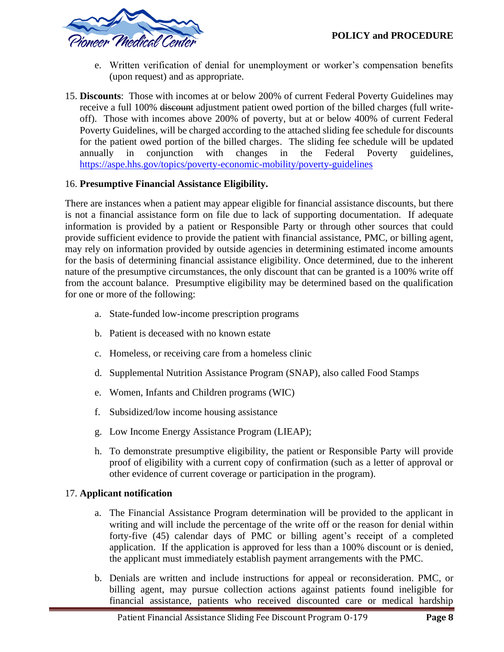

- e. Written verification of denial for unemployment or worker's compensation benefits (upon request) and as appropriate.
- 15. **Discounts**: Those with incomes at or below 200% of current Federal Poverty Guidelines may receive a full 100% discount adjustment patient owed portion of the billed charges (full writeoff). Those with incomes above 200% of poverty, but at or below 400% of current Federal Poverty Guidelines, will be charged according to the attached sliding fee schedule for discounts for the patient owed portion of the billed charges. The sliding fee schedule will be updated annually in conjunction with changes in the Federal Poverty guidelines, <https://aspe.hhs.gov/topics/poverty-economic-mobility/poverty-guidelines>

# 16. **Presumptive Financial Assistance Eligibility.**

There are instances when a patient may appear eligible for financial assistance discounts, but there is not a financial assistance form on file due to lack of supporting documentation. If adequate information is provided by a patient or Responsible Party or through other sources that could provide sufficient evidence to provide the patient with financial assistance, PMC, or billing agent, may rely on information provided by outside agencies in determining estimated income amounts for the basis of determining financial assistance eligibility. Once determined, due to the inherent nature of the presumptive circumstances, the only discount that can be granted is a 100% write off from the account balance. Presumptive eligibility may be determined based on the qualification for one or more of the following:

- a. State-funded low-income prescription programs
- b. Patient is deceased with no known estate
- c. Homeless, or receiving care from a homeless clinic
- d. Supplemental Nutrition Assistance Program (SNAP), also called Food Stamps
- e. Women, Infants and Children programs (WIC)
- f. Subsidized/low income housing assistance
- g. Low Income Energy Assistance Program (LIEAP);
- h. To demonstrate presumptive eligibility, the patient or Responsible Party will provide proof of eligibility with a current copy of confirmation (such as a letter of approval or other evidence of current coverage or participation in the program).

# 17. **Applicant notification**

- a. The Financial Assistance Program determination will be provided to the applicant in writing and will include the percentage of the write off or the reason for denial within forty-five (45) calendar days of PMC or billing agent's receipt of a completed application. If the application is approved for less than a 100% discount or is denied, the applicant must immediately establish payment arrangements with the PMC.
- b. Denials are written and include instructions for appeal or reconsideration. PMC, or billing agent, may pursue collection actions against patients found ineligible for financial assistance, patients who received discounted care or medical hardship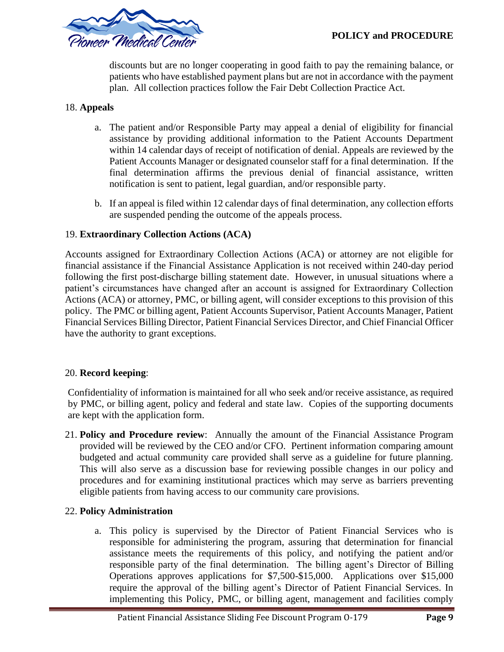

discounts but are no longer cooperating in good faith to pay the remaining balance, or patients who have established payment plans but are not in accordance with the payment plan. All collection practices follow the Fair Debt Collection Practice Act.

## 18. **Appeals**

- a. The patient and/or Responsible Party may appeal a denial of eligibility for financial assistance by providing additional information to the Patient Accounts Department within 14 calendar days of receipt of notification of denial. Appeals are reviewed by the Patient Accounts Manager or designated counselor staff for a final determination. If the final determination affirms the previous denial of financial assistance, written notification is sent to patient, legal guardian, and/or responsible party.
- b. If an appeal is filed within 12 calendar days of final determination, any collection efforts are suspended pending the outcome of the appeals process.

#### 19. **Extraordinary Collection Actions (ACA)**

Accounts assigned for Extraordinary Collection Actions (ACA) or attorney are not eligible for financial assistance if the Financial Assistance Application is not received within 240-day period following the first post-discharge billing statement date. However, in unusual situations where a patient's circumstances have changed after an account is assigned for Extraordinary Collection Actions (ACA) or attorney, PMC, or billing agent, will consider exceptions to this provision of this policy. The PMC or billing agent, Patient Accounts Supervisor, Patient Accounts Manager, Patient Financial Services Billing Director, Patient Financial Services Director, and Chief Financial Officer have the authority to grant exceptions.

## 20. **Record keeping**:

Confidentiality of information is maintained for all who seek and/or receive assistance, as required by PMC, or billing agent, policy and federal and state law. Copies of the supporting documents are kept with the application form.

21. **Policy and Procedure review**: Annually the amount of the Financial Assistance Program provided will be reviewed by the CEO and/or CFO. Pertinent information comparing amount budgeted and actual community care provided shall serve as a guideline for future planning. This will also serve as a discussion base for reviewing possible changes in our policy and procedures and for examining institutional practices which may serve as barriers preventing eligible patients from having access to our community care provisions.

## 22. **Policy Administration**

a. This policy is supervised by the Director of Patient Financial Services who is responsible for administering the program, assuring that determination for financial assistance meets the requirements of this policy, and notifying the patient and/or responsible party of the final determination. The billing agent's Director of Billing Operations approves applications for \$7,500-\$15,000. Applications over \$15,000 require the approval of the billing agent's Director of Patient Financial Services. In implementing this Policy, PMC, or billing agent, management and facilities comply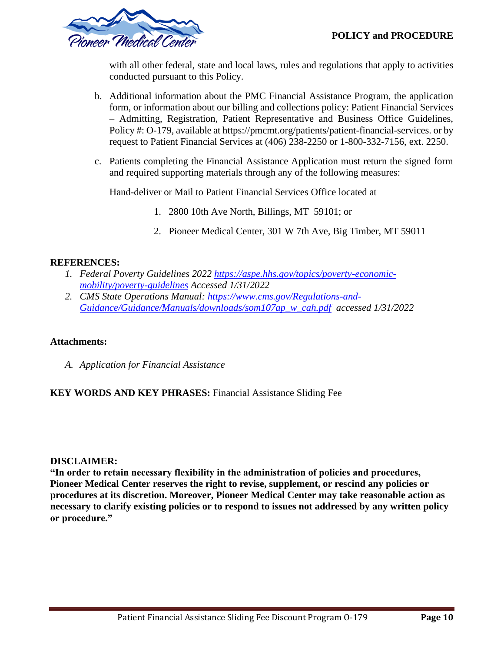

with all other federal, state and local laws, rules and regulations that apply to activities conducted pursuant to this Policy.

- b. Additional information about the PMC Financial Assistance Program, the application form, or information about our billing and collections policy: Patient Financial Services – Admitting, Registration, Patient Representative and Business Office Guidelines, Policy #: O-179, available at https://pmcmt.org/patients/patient-financial-services. or by request to Patient Financial Services at (406) 238-2250 or 1-800-332-7156, ext. 2250.
- c. Patients completing the Financial Assistance Application must return the signed form and required supporting materials through any of the following measures:

Hand-deliver or Mail to Patient Financial Services Office located at

- 1. 2800 10th Ave North, Billings, MT 59101; or
- 2. Pioneer Medical Center, 301 W 7th Ave, Big Timber, MT 59011

## **REFERENCES:**

- *1. Federal Poverty Guidelines 2022 [https://aspe.hhs.gov/topics/poverty-economic](https://aspe.hhs.gov/topics/poverty-economic-mobility/poverty-guidelines)[mobility/poverty-guidelines](https://aspe.hhs.gov/topics/poverty-economic-mobility/poverty-guidelines) Accessed 1/31/2022*
- *2. CMS State Operations Manual: [https://www.cms.gov/Regulations-and-](https://www.cms.gov/Regulations-and-Guidance/Guidance/Manuals/downloads/som107ap_w_cah.pdf)[Guidance/Guidance/Manuals/downloads/som107ap\\_w\\_cah.pdf](https://www.cms.gov/Regulations-and-Guidance/Guidance/Manuals/downloads/som107ap_w_cah.pdf) accessed 1/31/2022*

## **Attachments:**

*A. Application for Financial Assistance*

# **KEY WORDS AND KEY PHRASES:** Financial Assistance Sliding Fee

## **DISCLAIMER:**

**"In order to retain necessary flexibility in the administration of policies and procedures, Pioneer Medical Center reserves the right to revise, supplement, or rescind any policies or procedures at its discretion. Moreover, Pioneer Medical Center may take reasonable action as necessary to clarify existing policies or to respond to issues not addressed by any written policy or procedure."**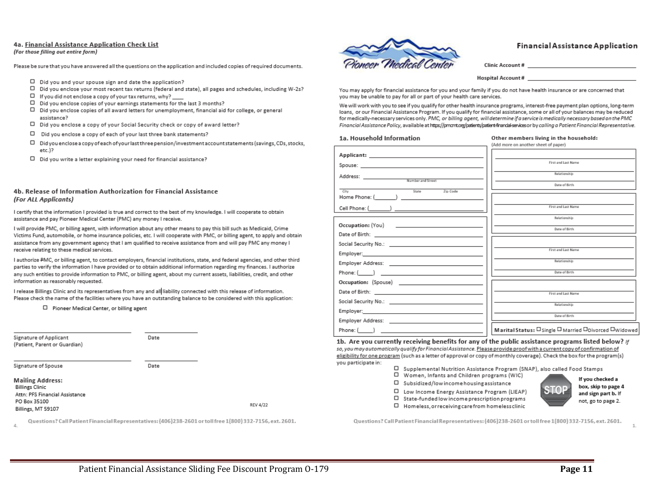#### 4a. Financial Assistance Application Check List

#### (For those filling out entire form)

Please be sure that you have answered all the questions on the application and included copies of required documents.

- D Did you and your spouse sign and date the application?
- □ Did you enclose your most recent tax returns (federal and state), all pages and schedules, including W-2s?
- $\square$  If you did not enclose a copy of your tax returns, why?  $\rule{1em}{0.15mm}$
- Did you enclose copies of your earnings statements for the last 3 months? 0
- Did you enclose copies of all award letters for unemployment, financial aid for college, or general assistance?
- D Did you enclose a copy of your Social Security check or copy of award letter?
- Ο Did you enclose a copy of each of your last three bank statements?
- Did you enclose a copy of each of your last three pension/investment account statements (savings, CDs, stocks, п etc.)?
- □ Did you write a letter explaining your need for financial assistance?

#### 4b. Release of Information Authorization for Financial Assistance (For ALL Applicants)

I certify that the information I provided is true and correct to the best of my knowledge. I will cooperate to obtain assistance and pay Pioneer Medical Center (PMC) any money I receive.

I will provide PMC, or billing agent, with information about any other means to pay this bill such as Medicaid, Crime Victims Fund, automobile, or home insurance policies, etc. I will cooperate with PMC, or billing agent, to apply and obtain assistance from any government agency that I am qualified to receive assistance from and will pay PMC any money I receive relating to these medical services.

I authorize PMC, or billing agent, to contact employers, financial institutions, state, and federal agencies, and other third parties to verify the information I have provided or to obtain additional information regarding my finances. I authorize any such entities to provide information to PMC, or billing agent, about my current assets, liabilities, credit, and other information as reasonably requested.

I release Billings Clinic and its representatives from any and all liability connected with this release of information. Please check the name of the facilities where you have an outstanding balance to be considered with this application:

□ Pioneer Medical Center, or billing agent

| Signature of Applicant<br>(Patient, Parent or Guardian) | Date |                 |
|---------------------------------------------------------|------|-----------------|
| Signature of Spouse                                     | Date |                 |
| <b>Mailing Address:</b><br><b>Billings Clinic</b>       |      |                 |
| Attn: PFS Financial Assistance                          |      |                 |
| PO Box 35100                                            |      | <b>REV 4/22</b> |
| Billings, MT 59107                                      |      |                 |

Questions? Call Patient Financial Representatives: (406)238-2601 or toll free 1(800) 332-7156, ext. 2601.



#### **Financial Assistance Application**

Clinic Account #

Hospital Account # 2008 2009 2012 2013

You may apply for financial assistance for you and your family if you do not have health insurance or are concerned that you may be unable to pay for all or part of your health care services.

We will work with you to see if you qualify for other health insurance programs, interest-free payment plan options, long-term loans, or our Financial Assistance Program. If you qualify for financial assistance, some or all of your balances may be reduced for medically-necessary services only. PMC, or billing agent, will determine if a service is medically necessary based on the PMC Financial Assistance Policy, available at https://pmcmt.org/patients/patient-finandal-services or by calling a Patient Financial Representative.

#### 1a. Household Information

Other members living in the household:

|                                                                                                               | (Add more on another sheet of paper)                    |
|---------------------------------------------------------------------------------------------------------------|---------------------------------------------------------|
|                                                                                                               |                                                         |
|                                                                                                               | First and Last Name                                     |
|                                                                                                               | Relationship                                            |
|                                                                                                               | Date of Birth                                           |
| City<br>Zip Code<br>State                                                                                     |                                                         |
|                                                                                                               | First and Last Name                                     |
|                                                                                                               | Relationship                                            |
|                                                                                                               | Date of Birth                                           |
|                                                                                                               |                                                         |
|                                                                                                               |                                                         |
| Employer: the contract of the contract of the contract of the contract of the contract of the contract of the | First and Last Name                                     |
|                                                                                                               | Relationship                                            |
|                                                                                                               | Date of Birth                                           |
|                                                                                                               |                                                         |
|                                                                                                               | First and Last Name                                     |
|                                                                                                               | Relationship                                            |
|                                                                                                               |                                                         |
|                                                                                                               | Date of Birth                                           |
|                                                                                                               | Marital Status: □ Single □ Married □ Divorced □ Widowed |

1b. Are you currently receiving benefits for any of the public assistance programs listed below? If so, you may automatically qualify for Financial Assistance. Please provide proof with a current copy of confirmation of eligibility for one program (such as a letter of approval or copy of monthly coverage). Check the box for the program(s) you participate in:

- □ Supplemental Nutrition Assistance Program (SNAP), also called Food Stamps
- U Women, Infants and Children programs (WIC)
- □ Subsidized/low income housing assistance
- □ Low Income Energy Assistance Program (LIEAP)
- □ State-funded low income prescription programs
- □ Homeless, or receiving care from homeless clinic



If you checked a box, skip to page 4 and sign part b. If not, go to page 2.

Questions? Call Patient Financial Representatives: (406)238-2601 or toll free 1(800)332-7156, ext. 2601.